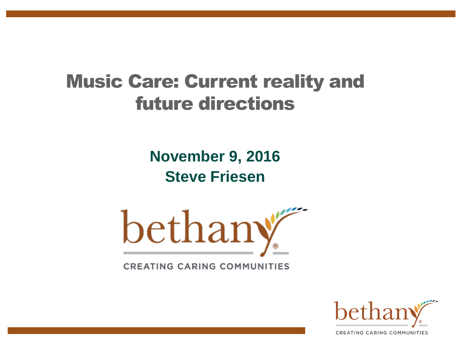### Music Care: Current reality and future directions

**November 9, 2016 Steve Friesen**



**CREATING CARING COMMUNITIES** 

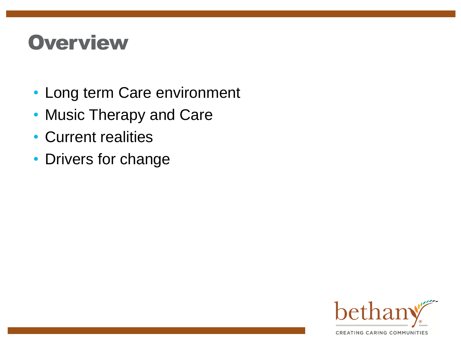## **Overview**

- Long term Care environment
- Music Therapy and Care
- Current realities
- Drivers for change

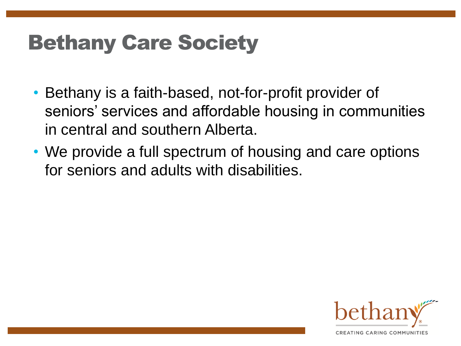# Bethany Care Society

- Bethany is a faith-based, not-for-profit provider of seniors' services and affordable housing in communities in central and southern Alberta.
- We provide a full spectrum of housing and care options for seniors and adults with disabilities.

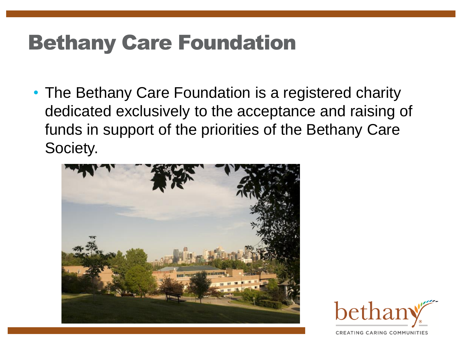# Bethany Care Foundation

• The Bethany Care Foundation is a registered charity dedicated exclusively to the acceptance and raising of funds in support of the priorities of the Bethany Care Society.



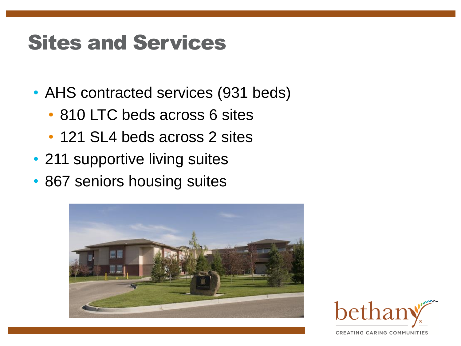# Sites and Services

- AHS contracted services (931 beds)
	- 810 LTC beds across 6 sites
	- 121 SL4 beds across 2 sites
- 211 supportive living suites
- 867 seniors housing suites



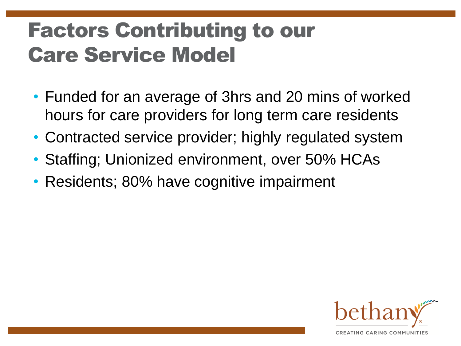# Factors Contributing to our Care Service Model

- Funded for an average of 3hrs and 20 mins of worked hours for care providers for long term care residents
- Contracted service provider; highly regulated system
- Staffing; Unionized environment, over 50% HCAs
- Residents; 80% have cognitive impairment

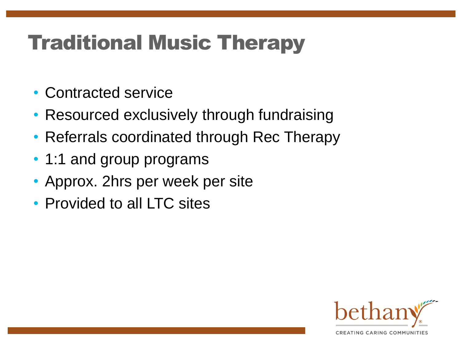# Traditional Music Therapy

- Contracted service
- Resourced exclusively through fundraising
- Referrals coordinated through Rec Therapy
- 1:1 and group programs
- Approx. 2hrs per week per site
- Provided to all LTC sites

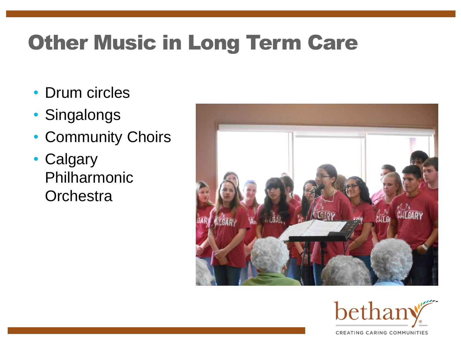# **Other Music in Long Term Care**

- Drum circles
- Singalongs
- Community Choirs
- Calgary Philharmonic **Orchestra**



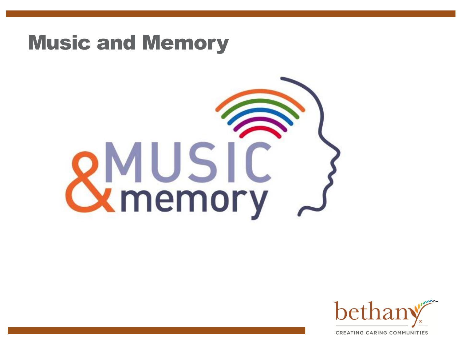### Music and Memory

# **SMUSIC**<br>Structure



**CREATING CARING COMMUNITIES**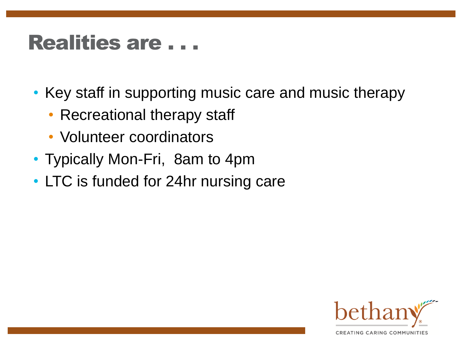### Realities are . . .

- Key staff in supporting music care and music therapy
	- Recreational therapy staff
	- Volunteer coordinators
- Typically Mon-Fri, 8am to 4pm
- LTC is funded for 24hr nursing care

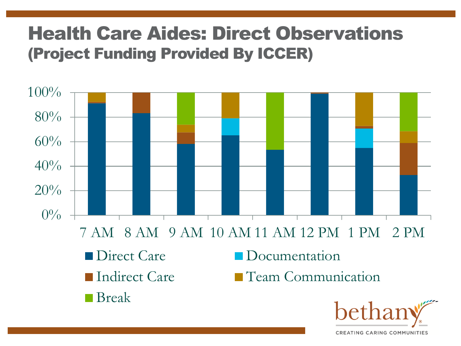### Health Care Aides: Direct Observations (Project Funding Provided By ICCER)



CREATING CARING COMMUNITIES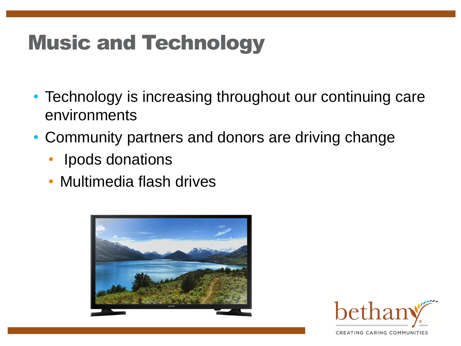# Music and Technology

- Technology is increasing throughout our continuing care environments
- Community partners and donors are driving change
	- Ipods donations
	- Multimedia flash drives

![](_page_11_Picture_5.jpeg)

![](_page_11_Picture_6.jpeg)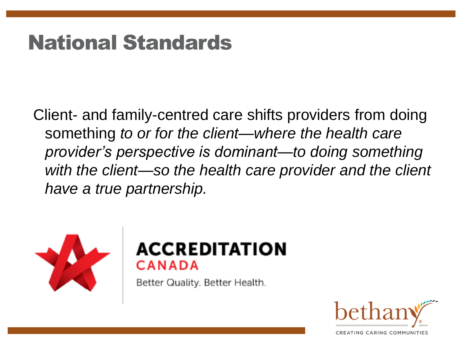# National Standards

Client- and family-centred care shifts providers from doing something *to or for the client—where the health care provider's perspective is dominant—to doing something*  with the client—so the health care provider and the client *have a true partnership.*

![](_page_12_Picture_2.jpeg)

### **ACCREDITATION** `ANADA

Better Quality. Better Health.

![](_page_12_Picture_5.jpeg)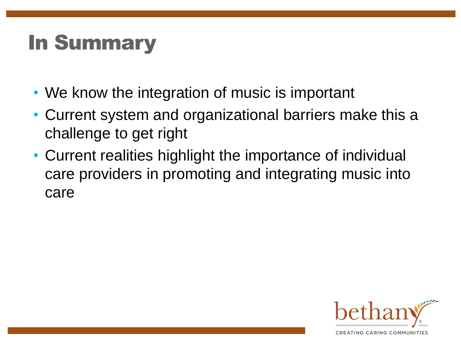# In Summary

- We know the integration of music is important
- Current system and organizational barriers make this a challenge to get right
- Current realities highlight the importance of individual care providers in promoting and integrating music into care

![](_page_13_Picture_4.jpeg)